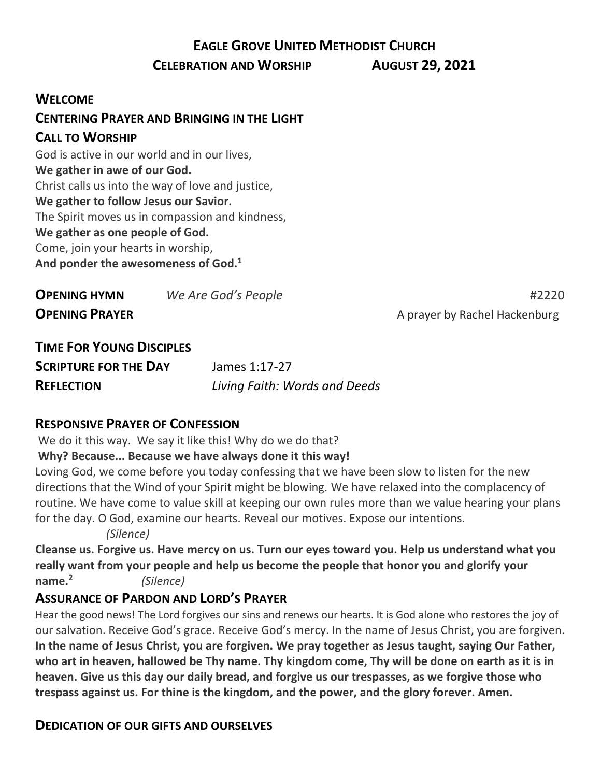# **EAGLE GROVE UNITED METHODIST CHURCH**

#### **CELEBRATION AND WORSHIP AUGUST 29, 2021**

#### **WELCOME**

# **CENTERING PRAYER AND BRINGING IN THE LIGHT**

#### **CALL TO WORSHIP**

God is active in our world and in our lives, **We gather in awe of our God.** Christ calls us into the way of love and justice, **We gather to follow Jesus our Savior.** The Spirit moves us in compassion and kindness, **We gather as one people of God.** Come, join your hearts in worship, **And ponder the awesomeness of God.<sup>1</sup>**

| <b>OPENING HYMN</b>   | We Are God's People | #2220                         |
|-----------------------|---------------------|-------------------------------|
| <b>OPENING PRAYER</b> |                     | A prayer by Rachel Hackenburg |

# **TIME FOR YOUNG DISCIPLES SCRIPTURE FOR THE DAY** James 1:17-27 **REFLECTION** *Living Faith: Words and Deeds*

## **RESPONSIVE PRAYER OF CONFESSION**

We do it this way. We say it like this! Why do we do that?

#### **Why? Because... Because we have always done it this way!**

Loving God, we come before you today confessing that we have been slow to listen for the new directions that the Wind of your Spirit might be blowing. We have relaxed into the complacency of routine. We have come to value skill at keeping our own rules more than we value hearing your plans for the day. O God, examine our hearts. Reveal our motives. Expose our intentions.

*(Silence)*

**Cleanse us. Forgive us. Have mercy on us. Turn our eyes toward you. Help us understand what you really want from your people and help us become the people that honor you and glorify your name. 2** *(Silence)*

## **ASSURANCE OF PARDON AND LORD'S PRAYER**

Hear the good news! The Lord forgives our sins and renews our hearts. It is God alone who restores the joy of our salvation. Receive God's grace. Receive God's mercy. In the name of Jesus Christ, you are forgiven. In the name of Jesus Christ, you are forgiven. We pray together as Jesus taught, saying Our Father, who art in heaven, hallowed be Thy name. Thy kingdom come, Thy will be done on earth as it is in **heaven. Give us this day our daily bread, and forgive us our trespasses, as we forgive those who trespass against us. For thine is the kingdom, and the power, and the glory forever. Amen.**

## **DEDICATION OF OUR GIFTS AND OURSELVES**